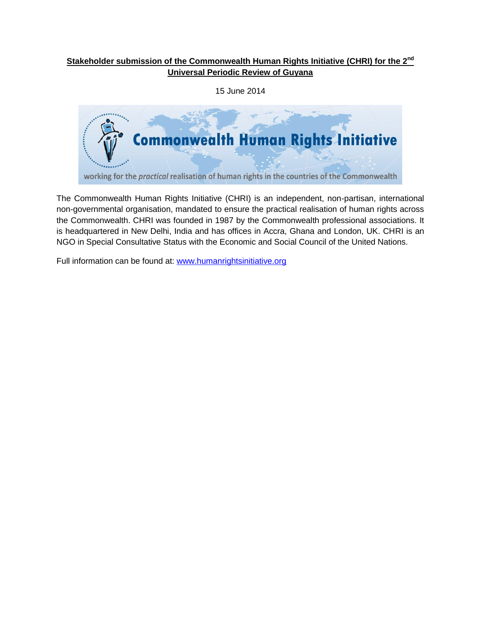# **Stakeholder submission of the Commonwealth Human Rights Initiative (CHRI) for the 2nd Universal Periodic Review of Guyana**

15 June 2014



The Commonwealth Human Rights Initiative (CHRI) is an independent, non-partisan, international non-governmental organisation, mandated to ensure the practical realisation of human rights across the Commonwealth. CHRI was founded in 1987 by the Commonwealth professional associations. It is headquartered in New Delhi, India and has offices in Accra, Ghana and London, UK. CHRI is an NGO in Special Consultative Status with the Economic and Social Council of the United Nations.

Full information can be found at: [www.humanrightsinitiative.org](http://www.humanrightsinitiative.org/)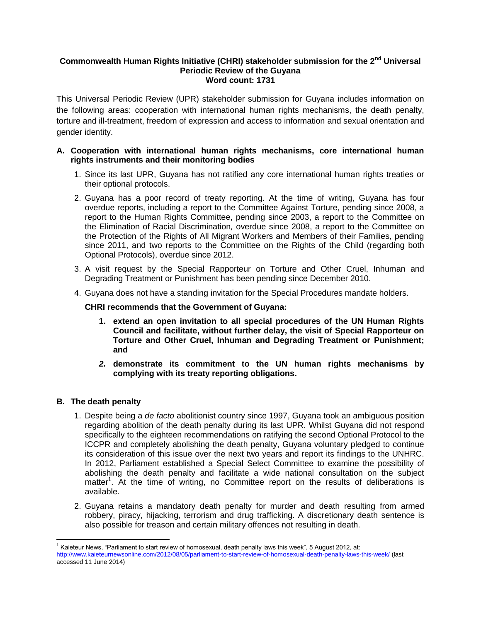## **Commonwealth Human Rights Initiative (CHRI) stakeholder submission for the 2nd Universal Periodic Review of the Guyana Word count: 1731**

This Universal Periodic Review (UPR) stakeholder submission for Guyana includes information on the following areas: cooperation with international human rights mechanisms, the death penalty, torture and ill-treatment, freedom of expression and access to information and sexual orientation and gender identity.

# **A. Cooperation with international human rights mechanisms, core international human rights instruments and their monitoring bodies**

- 1. Since its last UPR, Guyana has not ratified any core international human rights treaties or their optional protocols.
- 2. Guyana has a poor record of treaty reporting. At the time of writing, Guyana has four overdue reports, including a report to the Committee Against Torture, pending since 2008, a report to the Human Rights Committee, pending since 2003, a report to the Committee on the Elimination of Racial Discrimination*,* overdue since 2008, a report to the Committee on the Protection of the Rights of All Migrant Workers and Members of their Families, pending since 2011, and two reports to the Committee on the Rights of the Child (regarding both Optional Protocols), overdue since 2012.
- 3. A visit request by the Special Rapporteur on Torture and Other Cruel, Inhuman and Degrading Treatment or Punishment has been pending since December 2010.
- 4. Guyana does not have a standing invitation for the Special Procedures mandate holders.

### **CHRI recommends that the Government of Guyana:**

- **1. extend an open invitation to all special procedures of the UN Human Rights Council and facilitate, without further delay, the visit of Special Rapporteur on Torture and Other Cruel, Inhuman and Degrading Treatment or Punishment; and**
- *2.* **demonstrate its commitment to the UN human rights mechanisms by complying with its treaty reporting obligations.**

### **B. The death penalty**

 $\overline{\phantom{a}}$ 

- 1. Despite being a *de facto* abolitionist country since 1997, Guyana took an ambiguous position regarding abolition of the death penalty during its last UPR. Whilst Guyana did not respond specifically to the eighteen recommendations on ratifying the second Optional Protocol to the ICCPR and completely abolishing the death penalty, Guyana voluntary pledged to continue its consideration of this issue over the next two years and report its findings to the UNHRC. In 2012, Parliament established a Special Select Committee to examine the possibility of abolishing the death penalty and facilitate a wide national consultation on the subject matter<sup>1</sup>. At the time of writing, no Committee report on the results of deliberations is available.
- 2. Guyana retains a mandatory death penalty for murder and death resulting from armed robbery, piracy, hijacking, terrorism and drug trafficking. A discretionary death sentence is also possible for treason and certain military offences not resulting in death.

<sup>1</sup> Kaieteur News, "Parliament to start review of homosexual, death penalty laws this week", 5 August 2012, at: <http://www.kaieteurnewsonline.com/2012/08/05/parliament-to-start-review-of-homosexual-death-penalty-laws-this-week/> (last accessed 11 June 2014)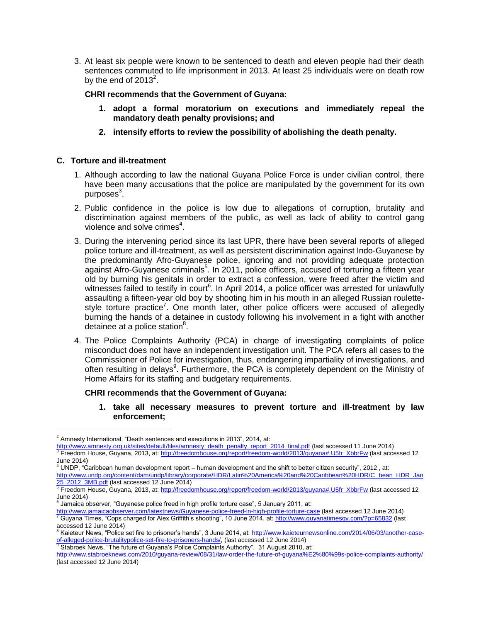3. At least six people were known to be sentenced to death and eleven people had their death sentences commuted to life imprisonment in 2013. At least 25 individuals were on death row by the end of 2013 $^2$ .

#### **CHRI recommends that the Government of Guyana:**

- **1. adopt a formal moratorium on executions and immediately repeal the mandatory death penalty provisions; and**
- **2. intensify efforts to review the possibility of abolishing the death penalty.**

### **C. Torture and ill-treatment**

- 1. Although according to law the national Guyana Police Force is under civilian control, there have been many accusations that the police are manipulated by the government for its own purposes<sup>3</sup>.
- 2. Public confidence in the police is low due to allegations of corruption, brutality and discrimination against members of the public, as well as lack of ability to control gang violence and solve crimes<sup>4</sup>.
- 3. During the intervening period since its last UPR, there have been several reports of alleged police torture and ill-treatment, as well as persistent discrimination against Indo-Guyanese by the predominantly Afro-Guyanese police, ignoring and not providing adequate protection against Afro-Guyanese criminals<sup>5</sup>. In 2011, police officers, accused of torturing a fifteen year old by burning his genitals in order to extract a confession, were freed after the victim and witnesses failed to testify in court<sup>6</sup>. In April 2014, a police officer was arrested for unlawfully assaulting a fifteen-year old boy by shooting him in his mouth in an alleged Russian roulettestyle torture practice<sup>7</sup>. One month later, other police officers were accused of allegedly burning the hands of a detainee in custody following his involvement in a fight with another detainee at a police station $8$ .
- 4. The Police Complaints Authority (PCA) in charge of investigating complaints of police misconduct does not have an independent investigation unit. The PCA refers all cases to the Commissioner of Police for investigation, thus, endangering impartiality of investigations, and often resulting in delays<sup>9</sup>. Furthermore, the PCA is completely dependent on the Ministry of Home Affairs for its staffing and budgetary requirements.

#### **CHRI recommends that the Government of Guyana:**

**1. take all necessary measures to prevent torture and ill-treatment by law enforcement;** 

 $\overline{\phantom{a}}$ 

 $2$  Amnesty International, "Death sentences and executions in 2013", 2014, at:

[http://www.amnesty.org.uk/sites/default/files/amnesty\\_death\\_penalty\\_report\\_2014\\_final.pdf](http://www.amnesty.org.uk/sites/default/files/amnesty_death_penalty_report_2014_final.pdf) (last accessed 11 June 2014) 3 Freedom House, Guyana, 2013, at[: http://freedomhouse.org/report/freedom-world/2013/guyana#.U5fr\\_XbbrFw](http://freedomhouse.org/report/freedom-world/2013/guyana#.U5fr_XbbrFw) (last accessed 12 June 2014) <sup>4</sup> UNDP, "Caribbean human development report – human development and the shift to better citizen security", 2012 , at:

[http://www.undp.org/content/dam/undp/library/corporate/HDR/Latin%20America%20and%20Caribbean%20HDR/C\\_bean\\_HDR\\_Jan](http://www.undp.org/content/dam/undp/library/corporate/HDR/Latin%20America%20and%20Caribbean%20HDR/C_bean_HDR_Jan25_2012_3MB.pdf)

<sup>&</sup>lt;u>[25\\_2012\\_3MB.pdf](http://www.undp.org/content/dam/undp/library/corporate/HDR/Latin%20America%20and%20Caribbean%20HDR/C_bean_HDR_Jan25_2012_3MB.pdf)</u> (last accessed 12 June 2014)<br><sup>5</sup> Freedom House, Guyana, 2013, at: <u>http://freedomhouse.org/report/freedom-world/2013/guyana#.U5fr\_XbbrFw</u> (last accessed 12

June 2014) 6 Jamaica observer, "Guyanese police freed in high profile torture case", 5 January 2011, at:

<sup>&</sup>lt;u><http://www.jamaicaobserver.com/latestnews/Guyanese-police-freed-in-high-profile-torture-case></u> (last accessed 12 June 2014)<br><sup>7</sup> Guyana Times, "Cops charged for Alex Griffith's shooting", 10 June 2014, at: <u>http://www.guyan</u>

accessed 12 June 2014)<br><sup>8</sup> Kaieteur News, "Police set fire to prisoner's hands", 3 June 2014, at: <u>http://www.kaieteurnewsonline.com/2014/06/03/another-case-</u> <u>of-alleged-police-brutalitypolice-set-fire-to-prisoners-hands/</u>, (last accessed 12 June 2014)<br><sup>9</sup> Stabroek News, "The future of Guyana's Police Complaints Authority", 31 August 2010, at:

<http://www.stabroeknews.com/2010/guyana-review/08/31/law-order-the-future-of-guyana%E2%80%99s-police-complaints-authority/> (last accessed 12 June 2014)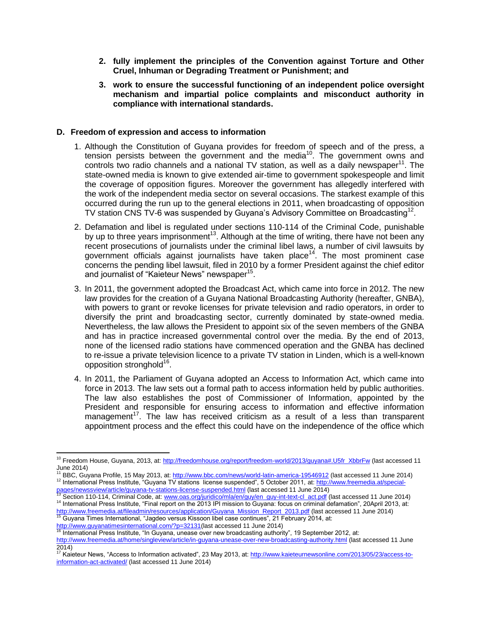- **2. fully implement the principles of the Convention against Torture and Other Cruel, Inhuman or Degrading Treatment or Punishment; and**
- **3. work to ensure the successful functioning of an independent police oversight mechanism and impartial police complaints and misconduct authority in compliance with international standards.**

### **D. Freedom of expression and access to information**

- 1. Although the Constitution of Guyana provides for freedom of speech and of the press, a tension persists between the government and the media<sup>10</sup>. The government owns and controls two radio channels and a national TV station, as well as a daily newspaper $^{11}$ . The state-owned media is known to give extended air-time to government spokespeople and limit the coverage of opposition figures. Moreover the government has allegedly interfered with the work of the independent media sector on several occasions. The starkest example of this occurred during the run up to the general elections in 2011, when broadcasting of opposition TV station CNS TV-6 was suspended by Guyana's Advisory Committee on Broadcasting<sup>12</sup>.
- 2. Defamation and libel is regulated under sections 110-114 of the Criminal Code, punishable by up to three years imprisonment<sup>13</sup>. Although at the time of writing, there have not been any recent prosecutions of journalists under the criminal libel laws, a number of civil lawsuits by government officials against journalists have taken place<sup>14</sup>. The most prominent case concerns the pending libel lawsuit, filed in 2010 by a former President against the chief editor and journalist of "Kaieteur News" newspaper<sup>15</sup>.
- 3. In 2011, the government adopted the Broadcast Act, which came into force in 2012. The new law provides for the creation of a Guyana National Broadcasting Authority (hereafter, GNBA), with powers to grant or revoke licenses for private television and radio operators, in order to diversify the print and broadcasting sector, currently dominated by state-owned media. Nevertheless, the law allows the President to appoint six of the seven members of the GNBA and has in practice increased governmental control over the media. By the end of 2013, none of the licensed radio stations have commenced operation and the GNBA has declined to re-issue a private television licence to a private TV station in Linden, which is a well-known opposition stronghold<sup>16</sup>.
- 4. In 2011, the Parliament of Guyana adopted an Access to Information Act, which came into force in 2013. The law sets out a formal path to access information held by public authorities. The law also establishes the post of Commissioner of Information, appointed by the President and responsible for ensuring access to information and effective information management<sup>17</sup>. The law has received criticism as a result of a less than transparent appointment process and the effect this could have on the independence of the office which

[http://www.guyanatimesinternational.com/?p=32131\(](http://www.guyanatimesinternational.com/?p=32131)last accessed 11 June 2014)

l

<sup>&</sup>lt;sup>10</sup> Freedom House, Guyana, 2013, at[: http://freedomhouse.org/report/freedom-world/2013/guyana#.U5fr\\_XbbrFw](http://freedomhouse.org/report/freedom-world/2013/guyana#.U5fr_XbbrFw) (last accessed 11 June 2014)

<sup>&</sup>lt;sup>11</sup> BBC, Guyana Profile, 15 May 2013, at:<http://www.bbc.com/news/world-latin-america-19546912> (last accessed 11 June 2014) <sup>12</sup> International Press Institute, "Guyana TV stations license suspended", 5 October 2011, at[: http://www.freemedia.at/special-](http://www.freemedia.at/special-pages/newssview/article/guyana-tv-stations-license-suspended.html)

<sup>&</sup>lt;u>[pages/newssview/article/guyana-tv-stations-license-suspended.html](http://www.freemedia.at/special-pages/newssview/article/guyana-tv-stations-license-suspended.html)</u> (last accessed 11 June 2014)<br><sup>13</sup> Section 110-114, Criminal Code, at: <u>www.oas.org/juridico/mla/en/guy/en\_guy-int-text-cl\_act.pdf</u> (last accessed 11 June <sup>14</sup> International Press Institute, "Final report on the 2013 IPI mission to Guyana: focus on criminal defamation", 20April 2013, at: <u>[http://www.freemedia.at/fileadmin/resources/application/Guyana\\_Mission\\_Report\\_2013.pdf](http://www.freemedia.at/fileadmin/resources/application/Guyana_Mission_Report_2013.pdf)</u> (last accessed 11 June 2014)<br><sup>15</sup> Guyana Times International, "Jagdeo versus Kissoon libel case continues", 21 February 2014, at:

<sup>16</sup> International Press Institute, "In Guyana, unease over new broadcasting authority", 19 September 2012, at: <http://www.freemedia.at/home/singleview/article/in-guyana-unease-over-new-broadcasting-authority.html> (last accessed 11 June

<sup>2014)&</sup>lt;br><sup>17</sup> Kaieteur News, "Access to Information activated", 23 May 2013, at: <u>http://www.kaieteurnewsonline.com/2013/05/23/access-to-</u> [information-act-activated/](http://www.kaieteurnewsonline.com/2013/05/23/access-to-information-act-activated/) (last accessed 11 June 2014)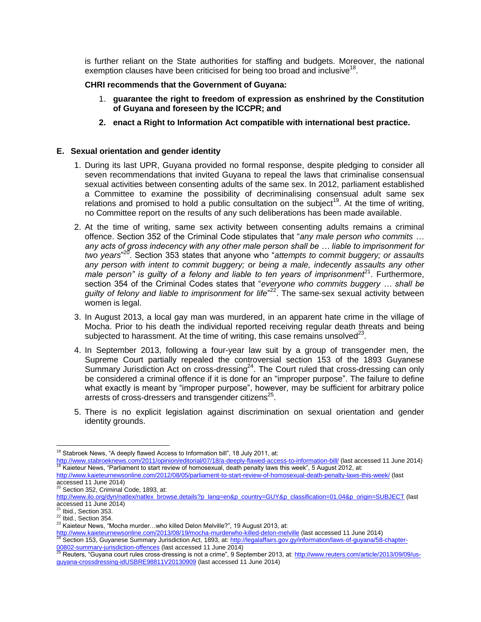is further reliant on the State authorities for staffing and budgets. Moreover, the national exemption clauses have been criticised for being too broad and inclusive<sup>18</sup>.

### **CHRI recommends that the Government of Guyana:**

- 1. **guarantee the right to freedom of expression as enshrined by the Constitution of Guyana and foreseen by the ICCPR; and**
- **2. enact a Right to Information Act compatible with international best practice.**

# **E. Sexual orientation and gender identity**

- 1. During its last UPR, Guyana provided no formal response, despite pledging to consider all seven recommendations that invited Guyana to repeal the laws that criminalise consensual sexual activities between consenting adults of the same sex. In 2012, parliament established a Committee to examine the possibility of decriminalising consensual adult same sex relations and promised to hold a public consultation on the subject<sup>19</sup>. At the time of writing, no Committee report on the results of any such deliberations has been made available.
- 2. At the time of writing, same sex activity between consenting adults remains a criminal offence. Section 352 of the Criminal Code stipulates that "*any male person who commits … any acts of gross indecency with any other male person shall be … liable to imprisonment for two years*" 20 . Section 353 states that anyone who "*attempts to commit buggery; or assaults any person with intent to commit buggery; or being a male, indecently assaults any other*  male person" is guilty of a felony and liable to ten years of imprisonment<sup>21</sup>. Furthermore, section 354 of the Criminal Codes states that "*everyone who commits buggery … shall be*  guilty of felony and liable to imprisonment for life<sup>"22</sup>. The same-sex sexual activity between women is legal.
- 3. In August 2013, a local gay man was murdered, in an apparent hate crime in the village of Mocha. Prior to his death the individual reported receiving regular death threats and being subjected to harassment. At the time of writing, this case remains unsolved $^{23}$ .
- 4. In September 2013, following a four-year law suit by a group of transgender men, the Supreme Court partially repealed the controversial section 153 of the 1893 Guyanese Summary Jurisdiction Act on cross-dressing<sup>24</sup>. The Court ruled that cross-dressing can only be considered a criminal offence if it is done for an "improper purpose". The failure to define what exactly is meant by "improper purpose", however, may be sufficient for arbitrary police arrests of cross-dressers and transgender citizens<sup>25</sup>.
- 5. There is no explicit legislation against discrimination on sexual orientation and gender identity grounds.

 $\overline{\phantom{a}}$ Stabroek News, "A deeply flawed Access to Information bill", 18 July 2011, at:

<http://www.stabroeknews.com/2011/opinion/editorial/07/18/a-deeply-flawed-access-to-information-bill/> (last accessed 11 June 2014) Kaieteur News, "Parliament to start review of homosexual, death penalty laws this week", 5 August 2012, at:

<http://www.kaieteurnewsonline.com/2012/08/05/parliament-to-start-review-of-homosexual-death-penalty-laws-this-week/> (last accessed 11 June 2014)

Section 352, Criminal Code, 1893, at:

[http://www.ilo.org/dyn/natlex/natlex\\_browse.details?p\\_lang=en&p\\_country=GUY&p\\_classification=01.04&p\\_origin=SUBJECT](http://www.ilo.org/dyn/natlex/natlex_browse.details?p_lang=en&p_country=GUY&p_classification=01.04&p_origin=SUBJECT) (last accessed 11 June 2014)

 $^{21}$  Ibid., Section 353.

<sup>22</sup> Ibid., Section 354.

<sup>23</sup> Kaieteur News, "Mocha murder...who killed Delon Melville?", 19 August 2013, at:

<http://www.kaieteurnewsonline.com/2013/08/19/mocha-murderwho-killed-delon-melville> (last accessed 11 June 2014) Section 153, Guyanese Summary Jurisdiction Act, 1893, at: [http://legalaffairs.gov.gy/information/laws-of-guyana/58-chapter-](http://legalaffairs.gov.gy/information/laws-of-guyana/58-chapter-00802-summary-jurisdiction-offences)

<sup>&</sup>lt;u>[00802-summary-jurisdiction-offences](http://legalaffairs.gov.gy/information/laws-of-guyana/58-chapter-00802-summary-jurisdiction-offences)</u> (last accessed 11 June 2014)<br><sup>25</sup> Reuters, "Guyana court rules cross-dressing is not a crime", 9 September 2013, at: <u>http://www.reuters.com/article/2013/09/09/us</u>[guyana-crossdressing-idUSBRE98811V20130909](http://www.reuters.com/article/2013/09/09/us-guyana-crossdressing-idUSBRE98811V20130909) (last accessed 11 June 2014)